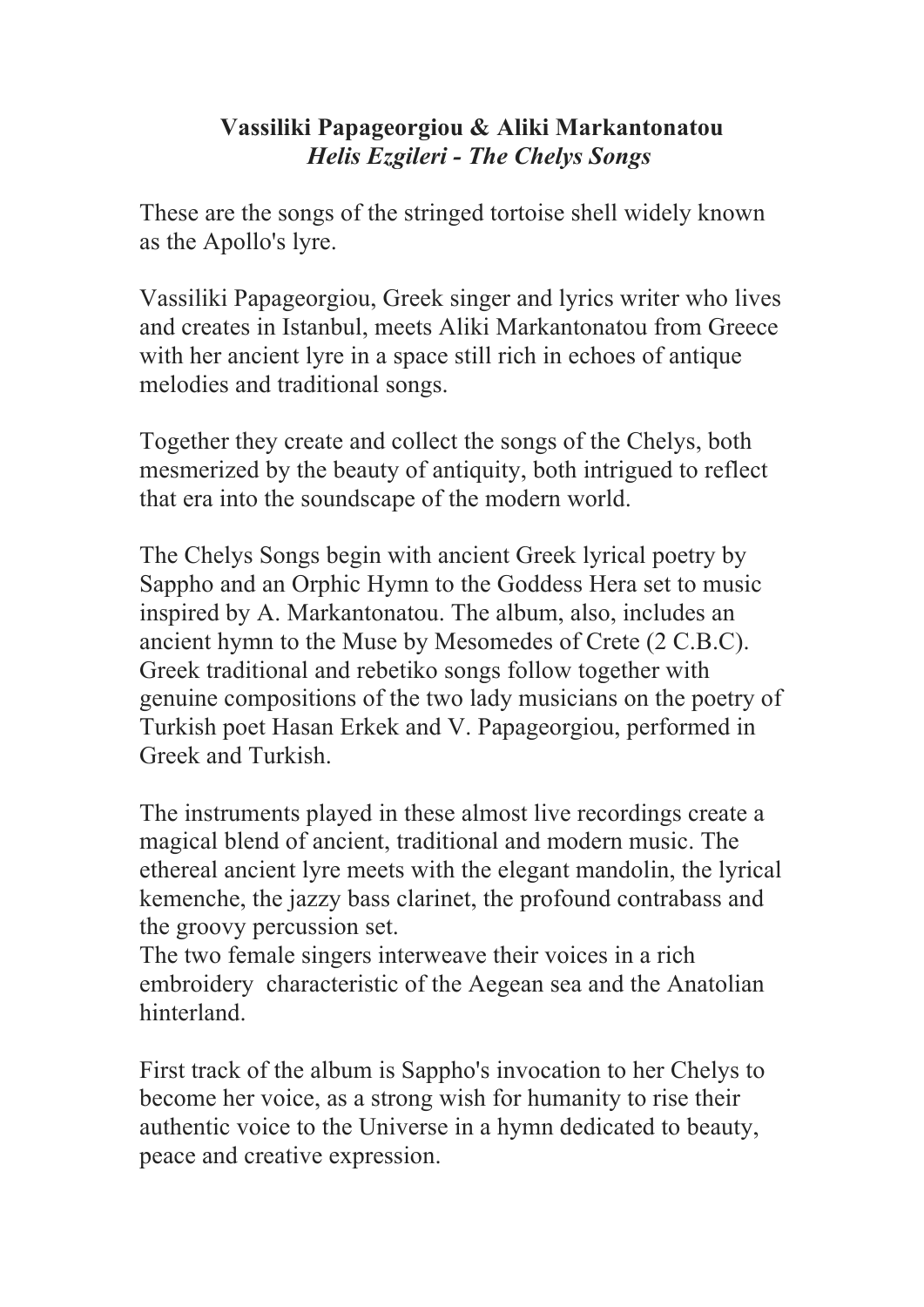## **Vassiliki Papageorgiou & Aliki Markantonatou**  *Helis Ezgileri - The Chelys Songs*

These are the songs of the stringed tortoise shell widely known as the Apollo's lyre.

Vassiliki Papageorgiou, Greek singer and lyrics writer who lives and creates in Istanbul, meets Aliki Markantonatou from Greece with her ancient lyre in a space still rich in echoes of antique melodies and traditional songs.

Together they create and collect the songs of the Chelys, both mesmerized by the beauty of antiquity, both intrigued to reflect that era into the soundscape of the modern world.

The Chelys Songs begin with ancient Greek lyrical poetry by Sappho and an Orphic Hymn to the Goddess Hera set to music inspired by A. Markantonatou. The album, also, includes an ancient hymn to the Muse by Mesomedes of Crete (2 C.B.C). Greek traditional and rebetiko songs follow together with genuine compositions of the two lady musicians on the poetry of Turkish poet Hasan Erkek and V. Papageorgiou, performed in Greek and Turkish.

The instruments played in these almost live recordings create a magical blend of ancient, traditional and modern music. The ethereal ancient lyre meets with the elegant mandolin, the lyrical kemenche, the jazzy bass clarinet, the profound contrabass and the groovy percussion set.

The two female singers interweave their voices in a rich embroidery characteristic of the Aegean sea and the Anatolian hinterland.

First track of the album is Sappho's invocation to her Chelys to become her voice, as a strong wish for humanity to rise their authentic voice to the Universe in a hymn dedicated to beauty, peace and creative expression.